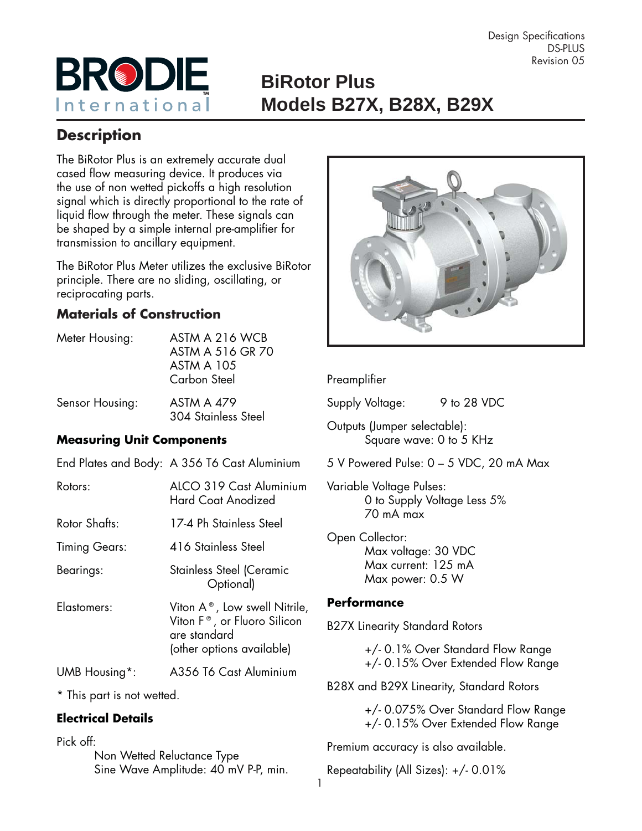

# **BiRotor Plus** International **Models B27X, B28X, B29X**

# **Description**

The BiRotor Plus is an extremely accurate dual cased flow measuring device. It produces via the use of non wetted pickoffs a high resolution signal which is directly proportional to the rate of liquid flow through the meter. These signals can be shaped by a simple internal pre-amplifier for transmission to ancillary equipment.

The BiRotor Plus Meter utilizes the exclusive BiRotor principle. There are no sliding, oscillating, or reciprocating parts.

### **Materials of Construction**

| Meter Housing:  | ASTM A 216 WCB<br>ASTM A 516 GR 70<br><b>ASTM A 105</b><br>Carbon Steel |
|-----------------|-------------------------------------------------------------------------|
| Sensor Housing: | <b>ASTM A 479</b><br>304 Stainless Steel                                |

#### **Measuring Unit Components**

|               | End Plates and Body: A 356 T6 Cast Aluminium                                                                                    |
|---------------|---------------------------------------------------------------------------------------------------------------------------------|
| Rotors:       | ALCO 319 Cast Aluminium<br><b>Hard Coat Anodized</b>                                                                            |
| Rotor Shafts: | 17-4 Ph Stainless Steel                                                                                                         |
| Timing Gears: | 416 Stainless Steel                                                                                                             |
| Bearings:     | Stainless Steel (Ceramic<br>Optional)                                                                                           |
| Elastomers:   | Viton $A^{\circ}$ , Low swell Nitrile,<br>Viton F <sup>®</sup> , or Fluoro Silicon<br>are standard<br>(other options available) |
| UMB Housing*: | A356 T6 Cast Aluminium                                                                                                          |
|               |                                                                                                                                 |

\* This part is not wetted.

#### **Electrical Details**

Pick off:

 Non Wetted Reluctance Type Sine Wave Amplitude: 40 mV P-P, min.



#### Preamplifier

Supply Voltage: 9 to 28 VDC

Outputs (Jumper selectable): Square wave: 0 to 5 KHz

5 V Powered Pulse: 0 – 5 VDC, 20 mA Max

Variable Voltage Pulses: 0 to Supply Voltage Less 5% 70 mA max

Open Collector: Max voltage: 30 VDC Max current: 125 mA Max power: 0.5 W

#### **Performance**

B27X Linearity Standard Rotors

 +/- 0.1% Over Standard Flow Range +/- 0.15% Over Extended Flow Range

B28X and B29X Linearity, Standard Rotors

 +/- 0.075% Over Standard Flow Range +/- 0.15% Over Extended Flow Range

Premium accuracy is also available.

Repeatability (All Sizes): +/- 0.01%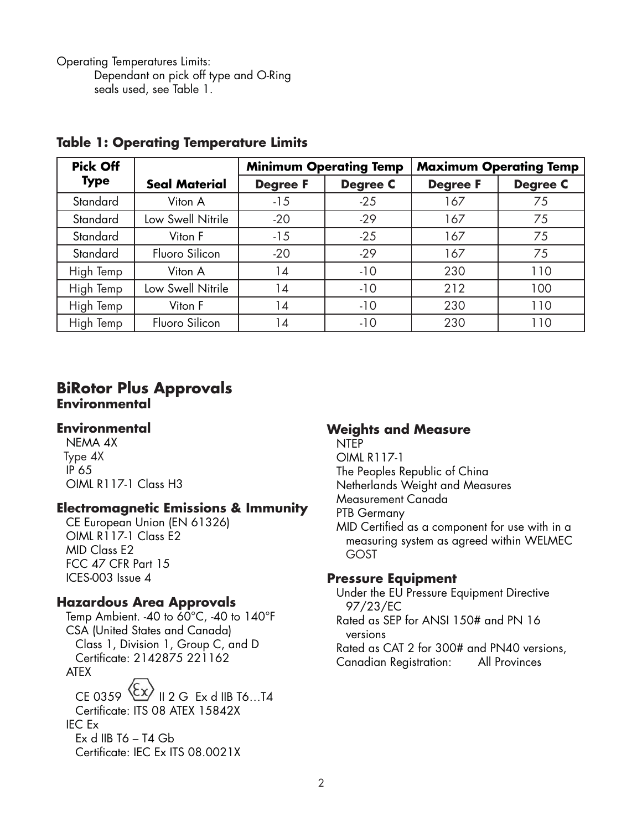Operating Temperatures Limits: Dependant on pick off type and O-Ring seals used, see Table 1.

| <b>Pick Off</b> |                      | <b>Minimum Operating Temp</b> |                 | <b>Maximum Operating Temp</b> |                 |  |  |
|-----------------|----------------------|-------------------------------|-----------------|-------------------------------|-----------------|--|--|
| <b>Type</b>     | <b>Seal Material</b> | <b>Degree F</b>               | <b>Degree C</b> | <b>Degree F</b>               | <b>Degree C</b> |  |  |
| Standard        | Viton A              | $-15$                         | $-25$           | 167                           | 75              |  |  |
| Standard        | Low Swell Nitrile    | $-20$                         | $-29$           | 167                           | 75              |  |  |
| Standard        | Viton F              | $-15$                         | $-25$           | 167                           | 75              |  |  |
| Standard        | Fluoro Silicon       | $-20$                         | $-29$           | 167                           | 75              |  |  |
| High Temp       | Viton A              | 14                            | $-10$           | 230                           | 110             |  |  |
| High Temp       | Low Swell Nitrile    | 14                            | $-10$           | 212                           | 100             |  |  |
| High Temp       | Viton F              | 14                            | $-10$           | 230                           | 110             |  |  |
| High Temp       | Fluoro Silicon       | 14                            | $-10$           | 230                           | 110             |  |  |

#### **Table 1: Operating Temperature Limits**

#### **BiRotor Plus Approvals Environmental**

#### **Environmental**

NEMA 4X Type 4X IP 65 OIML R117-1 Class H3

#### **Electromagnetic Emissions & Immunity**

CE European Union (EN 61326) OIML R117-1 Class E2 MID Class E2 FCC 47 CFR Part 15 ICES-003 Issue 4

#### **Hazardous Area Approvals**

Temp Ambient. -40 to  $60^{\circ}$ C, -40 to  $140^{\circ}$ F CSA (United States and Canada) Class 1, Division 1, Group C, and D Certifi cate: 2142875 221162 ATEX

CE 0359  $\langle \xi x \rangle$  II 2 G Ex d IIB T6...T4 Certificate: ITS 08 ATEX 15842X IEC Ex Ex d IIB  $T6 - T4$  Gb Certificate: IEC Ex ITS 08.0021X

#### **Weights and Measure**

NTEP

OIML R117-1 The Peoples Republic of China Netherlands Weight and Measures

Measurement Canada

PTB Germany

MID Certified as a component for use with in a measuring system as agreed within WELMEC GOST

#### **Pressure Equipment**

Under the EU Pressure Equipment Directive 97/23/EC

Rated as SEP for ANSI 150# and PN 16 versions

Rated as CAT 2 for 300# and PN40 versions, Canadian Registration: All Provinces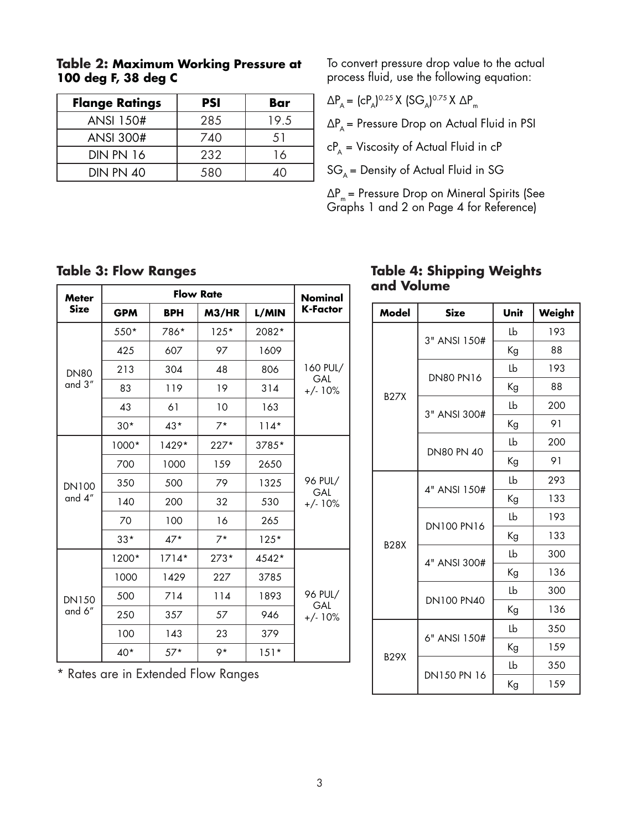| <b>Flange Ratings</b> | <b>PSI</b> | Bar  |
|-----------------------|------------|------|
| <b>ANSI 150#</b>      | 285        | 19.5 |
| <b>ANSI 300#</b>      | 740        | 51   |
| <b>DIN PN 16</b>      | 232        | 16   |
| <b>DIN PN 40</b>      | 580        |      |

#### **Table 2: Maximum Working Pressure at 100 deg F, 38 deg C**

To convert pressure drop value to the actual process fluid, use the following equation:

 $\Delta P_{A} = (cP_{A})^{0.25}$  X  $(SG_{A})^{0.75}$  X  $\Delta P_{m}$ 

 $\Delta P_A$  = Pressure Drop on Actual Fluid in PSI

 $cP_{A}$  = Viscosity of Actual Fluid in  $cP$ 

 $SG_A =$  Density of Actual Fluid in SG

 $\Delta P_m$  = Pressure Drop on Mineral Spirits (See Graphs 1 and 2 on Page 4 for Reference)

#### **Table 3: Flow Ranges**

| <b>Meter</b><br><b>Size</b> |            | Nominal    |        |        |                 |  |
|-----------------------------|------------|------------|--------|--------|-----------------|--|
|                             | <b>GPM</b> | <b>BPH</b> | M3/HR  | L/MIN  | <b>K-Factor</b> |  |
|                             | $550*$     | 786*       | $125*$ | 2082*  |                 |  |
|                             | 425        | 607        | 97     | 1609   |                 |  |
| <b>DN80</b>                 | 213        | 304        | 48     | 806    | 160 PUL/<br>GAL |  |
| and 3"                      | 83         | 119        | 19     | 314    | $+/-10%$        |  |
|                             | 43         | 61         | 10     | 163    |                 |  |
|                             | $30*$      | $43*$      | $7*$   | $114*$ |                 |  |
|                             | 1000*      | 1429*      | $227*$ | 3785*  |                 |  |
|                             | 700        | 1000       | 159    | 2650   |                 |  |
| <b>DN100</b>                | 350        | 500        | 79     | 1325   | 96 PUL/<br>GAL  |  |
| and 4"                      | 140        | 200        | 32     | 530    | $+/-10%$        |  |
|                             | 70         | 100        | 16     | 265    |                 |  |
|                             | $33*$      | $47*$      | $7*$   | $125*$ |                 |  |
|                             | 1200*      | $1714*$    | $273*$ | 4542*  |                 |  |
| <b>DN150</b><br>and 6"      | 1000       | 1429       | 227    | 3785   |                 |  |
|                             | 500        | 714        | 114    | 1893   | 96 PUL/<br>GAL  |  |
|                             | 250        | 357        | 57     | 946    | $+/-10%$        |  |
|                             | 100        | 143        | 23     | 379    |                 |  |
|                             | 40*        | $57*$      | 9*     | $151*$ |                 |  |

\* Rates are in Extended Flow Ranges

#### **Table 4: Shipping Weights and Volume**

| Model       | <b>Size</b>       | Unit | Weight |
|-------------|-------------------|------|--------|
|             | 3" ANSI 150#      | Lb   | 193    |
|             |                   | Кg   | 88     |
|             | <b>DN80 PN16</b>  | Lb   | 193    |
|             |                   | Kg   | 88     |
| <b>B27X</b> | 3" ANSI 300#      | Lb   | 200    |
|             |                   | Кg   | 91     |
|             | <b>DN80 PN 40</b> | Lb   | 200    |
|             |                   | Кg   | 91     |
|             | 4" ANSI 150#      | Lb   | 293    |
|             |                   | Кg   | 133    |
| <b>B28X</b> | <b>DN100 PN16</b> | Lb   | 193    |
|             |                   | Кg   | 133    |
|             | 4" ANSI 300#      | Lb   | 300    |
|             |                   | Кg   | 136    |
|             | <b>DN100 PN40</b> | Lb   | 300    |
|             |                   | Kg   | 136    |
|             | 6" ANSI 150#      | Lb   | 350    |
|             |                   | Кg   | 159    |
| <b>B29X</b> | DN150 PN 16       | Lb   | 350    |
|             |                   | Кg   | 159    |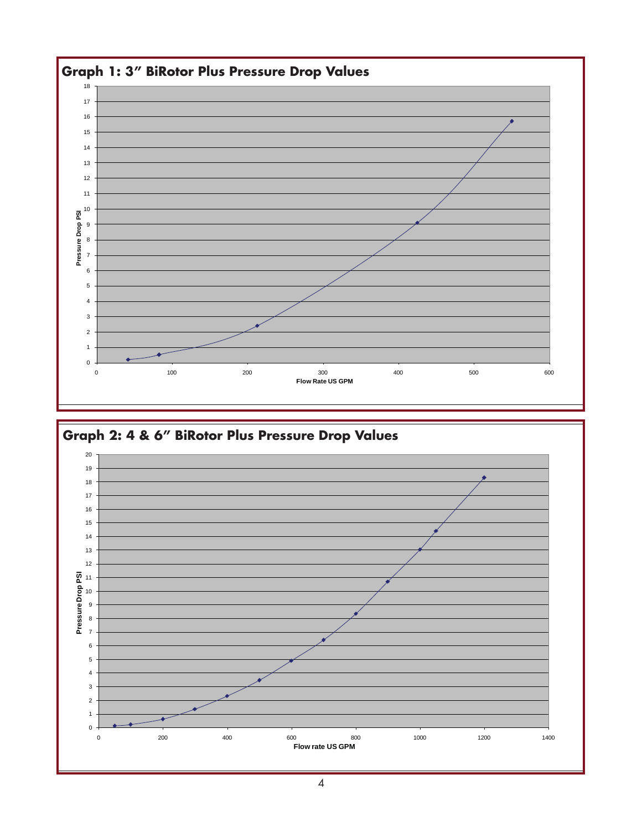

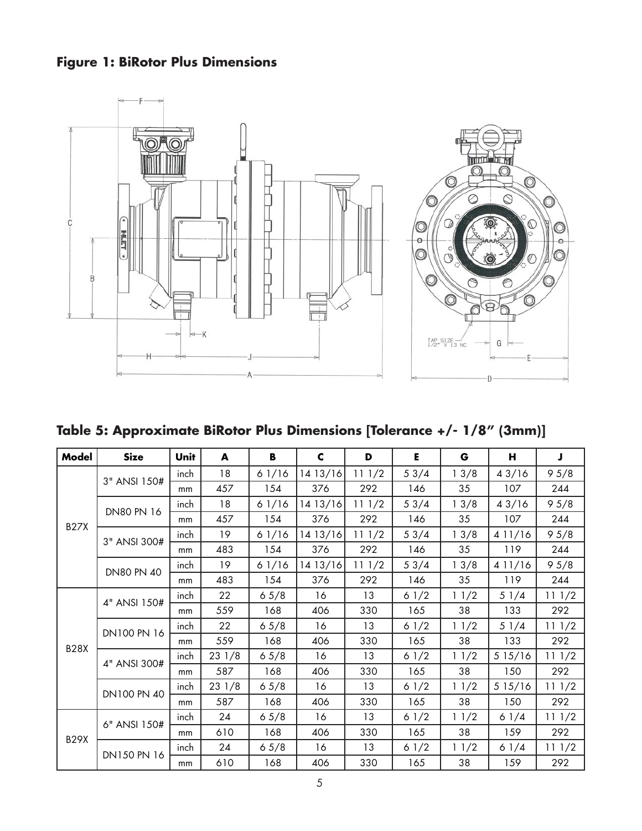## **Figure 1: BiRotor Plus Dimensions**



**Table 5: Approximate BiRotor Plus Dimensions [Tolerance +/- 1/8" (3mm)]**

| Model       | <b>Size</b>       | Unit          | A     | В     | $\mathbf c$ | D     | Е    | G    | н      | J     |
|-------------|-------------------|---------------|-------|-------|-------------|-------|------|------|--------|-------|
| <b>B27X</b> | 3" ANSI 150#      | inch          | 18    | 61/16 | 1413/16     | 111/2 | 53/4 | 13/8 | 43/16  | 95/8  |
|             |                   | mm            | 457   | 154   | 376         | 292   | 146  | 35   | 107    | 244   |
|             | <b>DN80 PN 16</b> | inch          | 18    | 61/16 | 1413/16     | 111/2 | 53/4 | 13/8 | 43/16  | 95/8  |
|             |                   | mm            | 457   | 154   | 376         | 292   | 146  | 35   | 107    | 244   |
|             | 3" ANSI 300#      | inch          | 19    | 61/16 | 1413/16     | 111/2 | 53/4 | 13/8 | 411/16 | 95/8  |
|             |                   | mm            | 483   | 154   | 376         | 292   | 146  | 35   | 119    | 244   |
|             | <b>DN80 PN 40</b> | inch          | 19    | 61/16 | 1413/16     | 111/2 | 53/4 | 13/8 | 411/16 | 95/8  |
|             |                   | mm            | 483   | 154   | 376         | 292   | 146  | 35   | 119    | 244   |
|             | 4" ANSI 150#      | inch          | 22    | 65/8  | 16          | 13    | 61/2 | 11/2 | 51/4   | 111/2 |
|             |                   | mm            | 559   | 168   | 406         | 330   | 165  | 38   | 133    | 292   |
| <b>B28X</b> | DN100 PN 16       | inch          | 22    | 65/8  | 16          | 13    | 61/2 | 11/2 | 51/4   | 111/2 |
|             |                   | <sub>mm</sub> | 559   | 168   | 406         | 330   | 165  | 38   | 133    | 292   |
|             | 4" ANSI 300#      | inch          | 231/8 | 6.5/8 | 16          | 13    | 61/2 | 11/2 | 515/16 | 111/2 |
|             |                   | mm            | 587   | 168   | 406         | 330   | 165  | 38   | 150    | 292   |
|             | DN100 PN 40       | inch          | 231/8 | 65/8  | 16          | 13    | 61/2 | 11/2 | 515/16 | 111/2 |
|             |                   | <sub>mm</sub> | 587   | 168   | 406         | 330   | 165  | 38   | 150    | 292   |
|             | 6" ANSI 150#      | inch          | 24    | 6.5/8 | 16          | 13    | 61/2 | 11/2 | 61/4   | 111/2 |
| <b>B29X</b> |                   | mm            | 610   | 168   | 406         | 330   | 165  | 38   | 159    | 292   |
|             | DN150 PN 16       | inch          | 24    | 65/8  | 16          | 13    | 61/2 | 11/2 | 61/4   | 111/2 |
|             |                   | mm            | 610   | 168   | 406         | 330   | 165  | 38   | 159    | 292   |